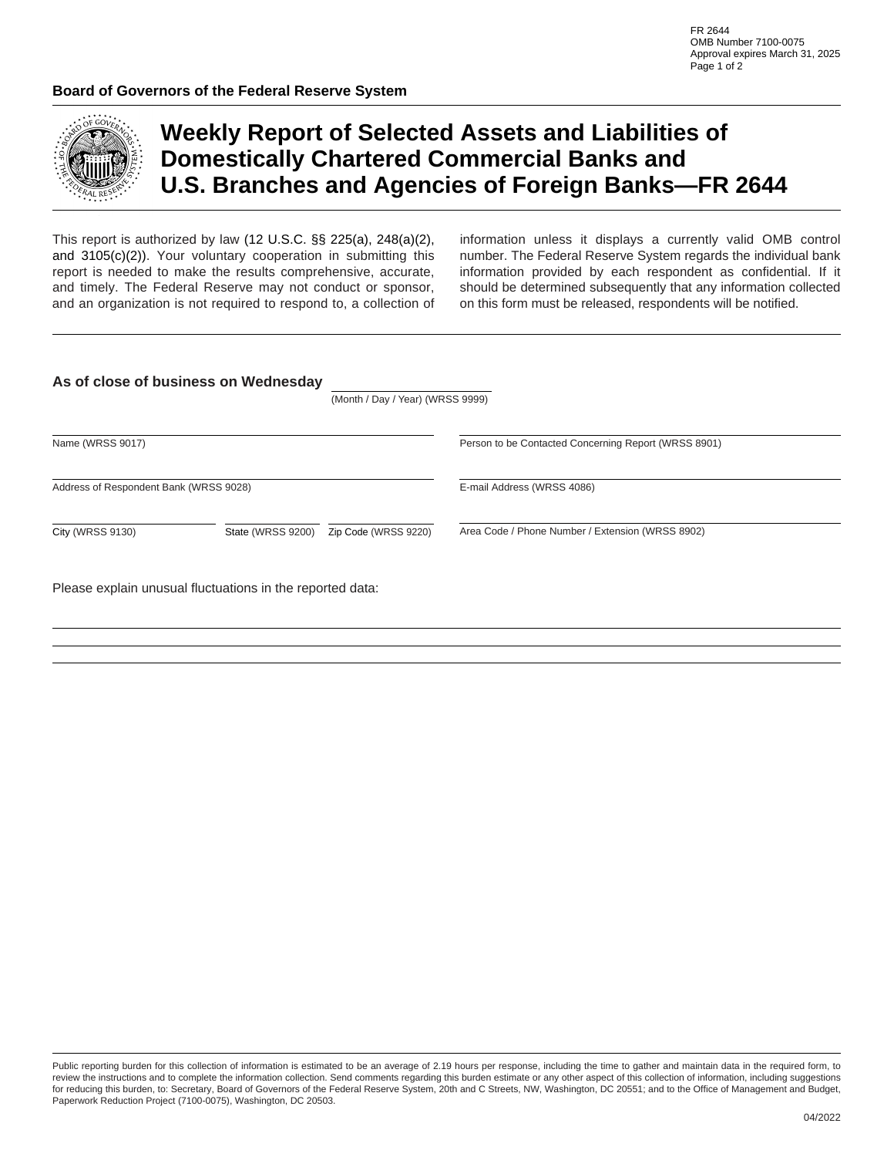

## **Weekly Report of Selected Assets and Liabilities of Domestically Chartered Commercial Banks and U.S. Branches and Agencies of Foreign Banks—FR 2644**

This report is authorized by law (12 U.S.C. §§ 225(a), 248(a)(2), and 3105(c)(2)). Your voluntary cooperation in submitting this report is needed to make the results comprehensive, accurate, and timely. The Federal Reserve may not conduct or sponsor, and an organization is not required to respond to, a collection of information unless it displays a currently valid OMB control number. The Federal Reserve System regards the individual bank information provided by each respondent as confidential. If it should be determined subsequently that any information collected on this form must be released, respondents will be notified.

|                                        |                                           | (Month / Day / Year) (WRSS 9999) |                                                      |
|----------------------------------------|-------------------------------------------|----------------------------------|------------------------------------------------------|
| Name (WRSS 9017)                       |                                           |                                  | Person to be Contacted Concerning Report (WRSS 8901) |
| Address of Respondent Bank (WRSS 9028) |                                           |                                  | E-mail Address (WRSS 4086)                           |
| <b>City (WRSS 9130)</b>                | $\blacktriangledown$<br>State (WRSS 9200) | Zip Code (WRSS 9220)             | Area Code / Phone Number / Extension (WRSS 8902)     |

Please explain unusual fluctuations in the reported data:

Public reporting burden for this collection of information is estimated to be an average of 2.19 hours per response, including the time to gather and maintain data in the required form, to review the instructions and to complete the information collection. Send comments regarding this burden estimate or any other aspect of this collection of information, including suggestions for reducing this burden, to: Secretary, Board of Governors of the Federal Reserve System, 20th and C Streets, NW, Washington, DC 20551; and to the Office of Management and Budget, Paperwork Reduction Project (7100-0075), Washington, DC 20503.